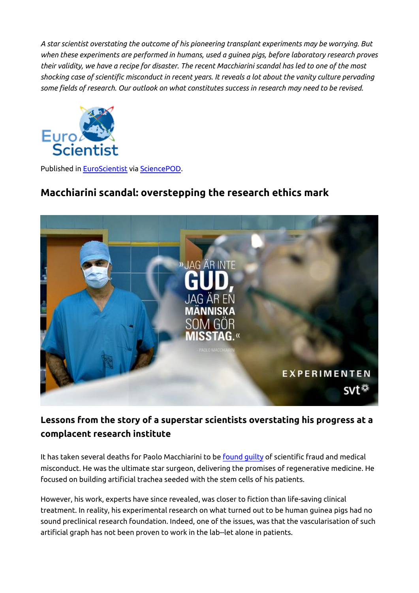*A star scientist overstating the outcome of his pioneering transplant experiments may be worrying. But when these experiments are performed in humans, used a guinea pigs, before laboratory research proves their validity, we have a recipe for disaster. The recent Macchiarini scandal has led to one of the most shocking case of scientific misconduct in recent years. It reveals a lot about the vanity culture pervading some fields of research. Our outlook on what constitutes success in research may need to be revised.*



Published in [EuroScientist](http://www.euroscientist.com/macchiarini-scandal-overstepping-research-ethics-mark) via [SciencePOD](http://www.sciencepod.net).

## **Macchiarini scandal: overstepping the research ethics mark**



## **Lessons from the story of a superstar scientists overstating his progress at a complacent research institute**

It has taken several deaths for Paolo Macchiarini to be **found guilty** of scientific fraud and medical misconduct. He was the ultimate star surgeon, delivering the promises of regenerative medicine. He focused on building artificial trachea seeded with the stem cells of his patients.

However, his work, experts have since revealed, was closer to fiction than life-saving clinical treatment. In reality, his experimental research on what turned out to be human guinea pigs had no sound preclinical research foundation. Indeed, one of the issues, was that the vascularisation of such artificial graph has not been proven to work in the lab--let alone in patients.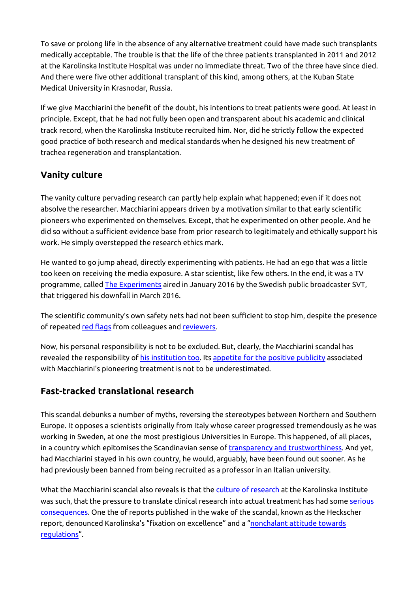To save or prolong life in the absence of any alternative treatment could have made such transplants medically acceptable. The trouble is that the life of the three patients transplanted in 2011 and 2012 at the Karolinska Institute Hospital was under no immediate threat. Two of the three have since died. And there were five other additional transplant of this kind, among others, at the Kuban State Medical University in Krasnodar, Russia.

If we give Macchiarini the benefit of the doubt, his intentions to treat patients were good. At least in principle. Except, that he had not fully been open and transparent about his academic and clinical track record, when the Karolinska Institute recruited him. Nor, did he strictly follow the expected good practice of both research and medical standards when he designed his new treatment of trachea regeneration and transplantation.

## **Vanity culture**

The vanity culture pervading research can partly help explain what happened; even if it does not absolve the researcher. Macchiarini appears driven by a motivation similar to that early scientific pioneers who experimented on themselves. Except, that he experimented on other people. And he did so without a sufficient evidence base from prior research to legitimately and ethically support his work. He simply overstepped the research ethics mark.

He wanted to go jump ahead, directly experimenting with patients. He had an ego that was a little too keen on receiving the media exposure. A star scientist, like few others. In the end, it was a TV programme, called [The Experiments](http://www.svt.se/dokument-inifran/experimenten-stjarnkirurgen) aired in January 2016 by the Swedish public broadcaster SVT, that triggered his downfall in March 2016.

The scientific community's own safety nets had not been sufficient to stop him, despite the presence of repeated [red flags](http://www.sciencemag.org/news/2016/09/another-scathing-report-causes-more-eminent-heads-roll-macchiarini-scandal) from colleagues and [reviewers](http://retractionwatch.com/category/by-author/paolo-macchiarini/).

Now, his personal responsibility is not to be excluded. But, clearly, the Macchiarini scandal has revealed the responsibility of [his institution too.](ttp://ki.se/sites/default/files/karolinska_institutet_and_the_macchiarini_case_summary_in_english_and_swedish.pdf) Its [appetite for the positive publicity](https://www.timeshighereducation.com/news/karolinska-institute-scandal-systemic-failures-or-individual-errors) associated with Macchiarini's pioneering treatment is not to be underestimated.

## **Fast-tracked translational research**

This scandal debunks a number of myths, reversing the stereotypes between Northern and Southern Europe. It opposes a scientists originally from Italy whose career progressed tremendously as he was working in Sweden, at one the most prestigious Universities in Europe. This happened, of all places, in a country which epitomises the Scandinavian sense of [transparency and trustworthiness.](http://www.nature.com/news/culture-of-silence-and-nonchalance-protected-disgraced-trachea-surgeon-updated-1.20533) And yet, had Macchiarini stayed in his own country, he would, arguably, have been found out sooner. As he had previously been banned from being recruited as a professor in an Italian university.

What the Macchiarini scandal also reveals is that the [culture of research](http://ki.se/en/news/macchiarini) at the Karolinska Institute was such, that the pressure to translate clinical research into actual treatment has had some [serious](http://www.sciencemag.org/news/2016/09/another-scathing-report-causes-more-eminent-heads-roll-macchiarini-scandal) [consequences.](http://www.sciencemag.org/news/2016/09/another-scathing-report-causes-more-eminent-heads-roll-macchiarini-scandal) One the of reports published in the wake of the scandal, known as the Heckscher report, denounced Karolinska's "fixation on excellence" and a "[nonchalant attitude towards](http://www.nature.com/news/culture-of-silence-and-nonchalance-protected-disgraced-trachea-surgeon-updated-1.20533) [regulations"](http://www.nature.com/news/culture-of-silence-and-nonchalance-protected-disgraced-trachea-surgeon-updated-1.20533).